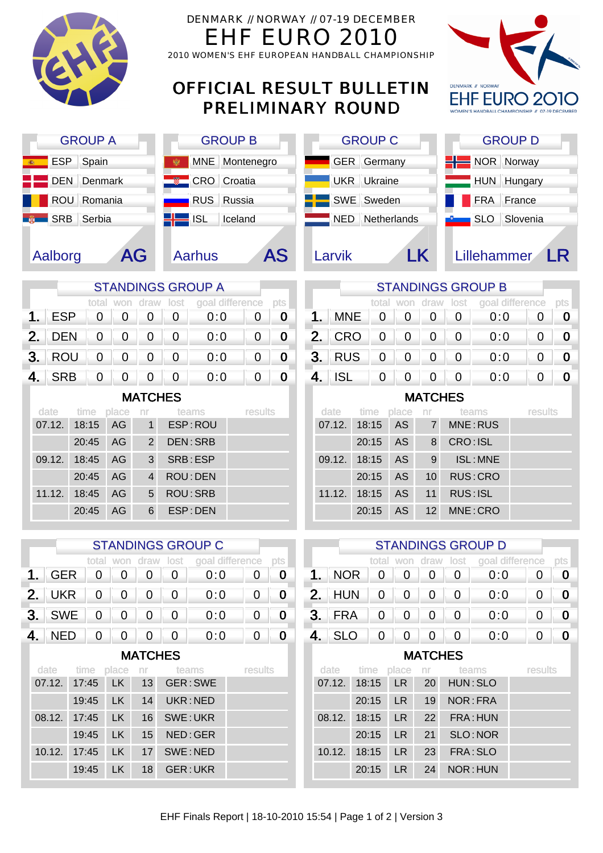| GH            |            |                |                |                               |                                | DENMARK // NORWAY // 07-19 DECEMBER<br>FHF EURO 2010<br>2010 WOMEN'S EHF EUROPEAN HANDBALL CHAMPIONSHIP |                                 |                |                  |                |            |                          |                        |                      |             |                          |             |                  |
|---------------|------------|----------------|----------------|-------------------------------|--------------------------------|---------------------------------------------------------------------------------------------------------|---------------------------------|----------------|------------------|----------------|------------|--------------------------|------------------------|----------------------|-------------|--------------------------|-------------|------------------|
|               |            |                |                |                               |                                |                                                                                                         | <b>OFFICIAL RESULT BULLETIN</b> |                |                  |                |            | <b>PRELIMINARY ROUND</b> |                        |                      |             | <b>DENMARK # NORWAY</b>  |             |                  |
|               |            | <b>GROUP A</b> |                |                               |                                |                                                                                                         | <b>GROUP B</b>                  |                |                  |                |            | <b>GROUP C</b>           |                        |                      |             | <b>GROUP D</b>           |             |                  |
|               | <b>ESP</b> |                | Spain          |                               |                                |                                                                                                         | <b>MNE</b>                      | Montenegro     |                  |                |            | <b>GER</b> Germany       |                        |                      |             | NOR Norway               |             |                  |
|               | <b>DEN</b> |                | Denmark        |                               |                                |                                                                                                         | <b>CRO</b>                      | Croatia        |                  |                | <b>UKR</b> | Ukraine                  |                        |                      |             | HUN Hungary              |             |                  |
|               |            | ROU Romania    |                |                               |                                |                                                                                                         | <b>RUS</b><br>Russia            |                |                  |                | <b>SWE</b> | Sweden                   |                        |                      |             | <b>FRA</b>               | France      |                  |
|               | <b>SRB</b> |                | Serbia         |                               |                                |                                                                                                         | <b>ISL</b>                      | Iceland        |                  |                | <b>NED</b> |                          | Netherlands            |                      |             | <b>SLO</b>               | Slovenia    |                  |
|               |            |                |                |                               |                                |                                                                                                         |                                 |                |                  |                |            |                          |                        |                      |             |                          |             |                  |
|               | Aalborg    |                |                | AG                            |                                |                                                                                                         | <b>Aarhus</b>                   |                | <b>AS</b>        |                | Larvik     |                          |                        | LK.                  |             | Lillehammer              |             | I R              |
|               |            |                |                |                               |                                |                                                                                                         | <b>STANDINGS GROUP A</b>        |                |                  |                |            |                          |                        |                      |             | <b>STANDINGS GROUP B</b> |             |                  |
|               |            |                | total          | won                           | draw                           | lost                                                                                                    | goal difference                 |                | pts              |                |            | total                    | won                    | draw                 | lost        | goal difference          |             | pts              |
| $\mathbf 1$ . | <b>ESP</b> |                | 0              | 0                             | 0                              | 0                                                                                                       | 0:0                             | 0              | $\bf{0}$         | 1.             | <b>MNE</b> | 0                        | 0                      | 0                    | 0           | 0:0                      | 0           | $\boldsymbol{0}$ |
| 2.            | <b>DEN</b> |                | 0              | 0                             | O                              | 0                                                                                                       | 0:0                             | 0              | $\bf{0}$         | 2.             | <b>CRO</b> | 0                        | 0                      | 0                    | 0           | 0:0                      | 0           | $\bf{0}$         |
| 3.            | <b>ROU</b> |                | $\overline{0}$ | 0                             | $\overline{0}$                 | 0                                                                                                       | 0:0                             | 0              | $\boldsymbol{0}$ | 3 <sub>1</sub> | <b>RUS</b> | 0                        | 0                      | 0                    | 0           | 0:0                      | 0           | $\bf{0}$         |
| 4.            | <b>SRB</b> |                | 0              | 0                             | $\overline{0}$                 | 0                                                                                                       | 0:0                             | 0              | $\bf{0}$         | 4.             | <b>ISL</b> | 0                        | 0                      | 0                    | 0           | 0:0                      | 0           | $\bf{0}$         |
|               |            |                |                |                               | <b>MATCHES</b>                 |                                                                                                         |                                 |                |                  |                |            |                          |                        | <b>MATCHES</b>       |             |                          |             |                  |
|               |            |                |                |                               |                                |                                                                                                         |                                 |                |                  |                |            |                          |                        |                      |             |                          |             |                  |
|               | date       | time           |                | place                         | nr                             |                                                                                                         | teams                           | results        |                  |                | date       | time                     | place                  | nr<br>$\overline{7}$ |             | teams                    | results     |                  |
|               | 07.12.     | 18:15<br>20:45 |                | AG<br>AG                      | $\mathbf{1}$<br>$\overline{2}$ |                                                                                                         | ESP: ROU<br><b>DEN:SRB</b>      |                |                  |                | 07.12.     | 18:15<br>20:15           | <b>AS</b><br><b>AS</b> | 8                    | CRO: ISL    | MNE: RUS                 |             |                  |
|               | 09.12.     | 18:45          |                | AG                            | 3                              |                                                                                                         | SRB:ESP                         |                |                  |                | 09.12.     | 18:15                    | AS                     | 9                    |             | ISL: MNE                 |             |                  |
|               |            | 20:45          |                | AG                            | 4                              |                                                                                                         | ROU: DEN                        |                |                  |                |            | 20:15                    | AS                     | 10                   |             | RUS: CRO                 |             |                  |
|               | 11.12.     | 18:45          |                | AG                            | 5                              |                                                                                                         | <b>ROU: SRB</b>                 |                |                  |                | 11.12.     | 18:15                    | AS                     | 11                   | RUS: ISL    |                          |             |                  |
|               |            | 20:45          |                | AG                            | 6                              |                                                                                                         | ESP: DEN                        |                |                  |                |            | 20:15                    | <b>AS</b>              | 12                   |             | MNE: CRO                 |             |                  |
|               |            |                |                |                               |                                |                                                                                                         |                                 |                |                  |                |            |                          |                        |                      |             |                          |             |                  |
|               |            |                |                |                               |                                |                                                                                                         | <b>STANDINGS GROUP C</b>        |                |                  |                |            |                          |                        |                      |             | <b>STANDINGS GROUP D</b> |             |                  |
| 1.            | <b>GER</b> |                | $\mathbf 0$    | total won draw<br>$\mathbf 0$ | 0                              | lost<br>$\mathbf 0$                                                                                     | goal difference<br>0:0          | $\mathbf 0$    | pts<br>$\bf{0}$  | 1. I           | <b>NOR</b> | $\mathbf 0$              | total won draw<br>0    | 0                    | lost<br>0   | goal difference<br>0:0   | 0           | pts<br>$\bf{0}$  |
| 2.            | <b>UKR</b> |                | $\pmb{0}$      | $\mathbf 0$                   | 0                              | $\overline{0}$                                                                                          | 0:0                             | $\overline{0}$ | $\bf{0}$         | 2.             | <b>HUN</b> | $\mathbf 0$              | 0                      | $\mathbf 0$          | $\mathbf 0$ | 0:0                      | $\mathbf 0$ | $\bf{0}$         |
| $3-$          | <b>SWE</b> |                | $\mathbf 0$    | 0                             | 0                              | $\mathbf 0$                                                                                             | 0:0                             | 0              | $\bf{0}$         | 3 <sub>l</sub> | <b>FRA</b> | 0                        | 0                      | 0                    | 0           | 0:0                      | 0           | $\bf{0}$         |
|               | $4.$ NED   |                | $\overline{0}$ | $\overline{0}$                | 0                              | $\overline{0}$                                                                                          | 0:0                             | $\overline{0}$ | $\bf{0}$         | 4.             | <b>SLO</b> | $\overline{0}$           | 0                      | 0                    | $\mathbf 0$ | 0:0                      | $\mathbf 0$ | $\boldsymbol{0}$ |
|               |            |                |                |                               |                                |                                                                                                         |                                 |                |                  |                |            |                          |                        |                      |             |                          |             |                  |
|               | date       | time           |                | place                         | <b>MATCHES</b><br>nr           |                                                                                                         | teams                           | results        |                  |                | date       | time                     | place                  | <b>MATCHES</b><br>nr |             | teams                    | results     |                  |
|               | 07.12.     | 17:45          |                | LK                            | 13                             |                                                                                                         | GER: SWE                        |                |                  |                | 07.12.     | 18:15                    | LR.                    | 20                   |             | HUN: SLO                 |             |                  |
|               |            | 19:45          |                | LK                            | 14                             | UKR:NED                                                                                                 |                                 |                |                  |                |            | 20:15                    | <b>LR</b>              | 19                   |             | NOR: FRA                 |             |                  |
|               | 08.12.     | 17:45          |                | LK                            | 16                             | SWE: UKR                                                                                                |                                 |                |                  |                | 08.12.     | 18:15                    | <b>LR</b>              | 22                   |             | FRA: HUN                 |             |                  |
|               | 10.12.     | 19:45<br>17:45 |                | LK<br>LK                      | 15<br>17                       | NED: GER<br>SWE:NED                                                                                     |                                 |                |                  |                | 10.12.     | 20:15<br>18:15           | LR.<br>LR              | 21<br>23             |             | SLO: NOR<br>FRA: SLO     |             |                  |

20:15 LR 24 NOR : HUN